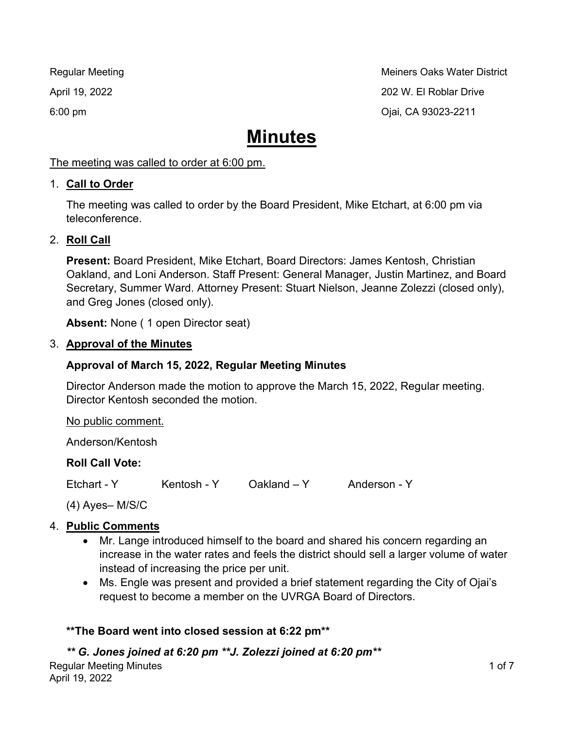Regular Meeting Metal of the Metal Control of the Meiners Oaks Water District April 19, 2022 202 W. El Roblar Drive 6:00 pm Ojai, CA 93023-2211

# **Minutes**

## The meeting was called to order at 6:00 pm.

## 1. **Call to Order**

The meeting was called to order by the Board President, Mike Etchart, at 6:00 pm via teleconference.

# 2. **Roll Call**

**Present:** Board President, Mike Etchart, Board Directors: James Kentosh, Christian Oakland, and Loni Anderson. Staff Present: General Manager, Justin Martinez, and Board Secretary, Summer Ward. Attorney Present: Stuart Nielson, Jeanne Zolezzi (closed only), and Greg Jones (closed only).

**Absent:** None ( 1 open Director seat)

## 3. **Approval of the Minutes**

# **Approval of March 15, 2022, Regular Meeting Minutes**

Director Anderson made the motion to approve the March 15, 2022, Regular meeting. Director Kentosh seconded the motion.

No public comment.

Anderson/Kentosh

# **Roll Call Vote:**

Etchart - Y Kentosh - Y Oakland - Y Anderson - Y

(4) Ayes– M/S/C

# 4. **Public Comments**

- Mr. Lange introduced himself to the board and shared his concern regarding an increase in the water rates and feels the district should sell a larger volume of water instead of increasing the price per unit.
- Ms. Engle was present and provided a brief statement regarding the City of Ojai's request to become a member on the UVRGA Board of Directors.

# **\*\*The Board went into closed session at 6:22 pm\*\***

# *\*\* G. Jones joined at 6:20 pm \*\*J. Zolezzi joined at 6:20 pm\*\**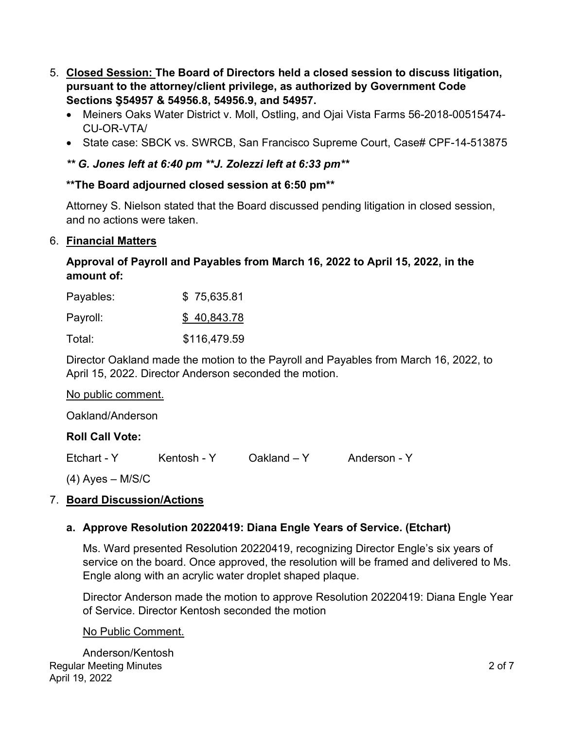- 5. **Closed Session: The Board of Directors held a closed session to discuss litigation, pursuant to the attorney/client privilege, as authorized by Government Code Sections Ş54957 & 54956.8, 54956.9, and 54957.** 
	- Meiners Oaks Water District v. Moll, Ostling, and Ojai Vista Farms 56-2018-00515474- CU-OR-VTA/
	- State case: SBCK vs. SWRCB, San Francisco Supreme Court, Case# CPF-14-513875

## *\*\* G. Jones left at 6:40 pm \*\*J. Zolezzi left at 6:33 pm\*\**

## **\*\*The Board adjourned closed session at 6:50 pm\*\***

Attorney S. Nielson stated that the Board discussed pending litigation in closed session, and no actions were taken.

#### 6. **Financial Matters**

#### **Approval of Payroll and Payables from March 16, 2022 to April 15, 2022, in the amount of:**

| Payables: | \$75,635.81  |
|-----------|--------------|
| Payroll:  | \$40,843.78  |
| Total:    | \$116,479.59 |

Director Oakland made the motion to the Payroll and Payables from March 16, 2022, to April 15, 2022. Director Anderson seconded the motion.

| No public comment. |
|--------------------|
|--------------------|

Oakland/Anderson

## **Roll Call Vote:**

Etchart - Y Kentosh - Y Oakland - Y Anderson - Y

 $(4)$  Ayes – M/S/C

## 7. **Board Discussion/Actions**

## **a. Approve Resolution 20220419: Diana Engle Years of Service. (Etchart)**

Ms. Ward presented Resolution 20220419, recognizing Director Engle's six years of service on the board. Once approved, the resolution will be framed and delivered to Ms. Engle along with an acrylic water droplet shaped plaque.

Director Anderson made the motion to approve Resolution 20220419: Diana Engle Year of Service. Director Kentosh seconded the motion

#### No Public Comment.

Regular Meeting Minutes April 19, 2022 Anderson/Kentosh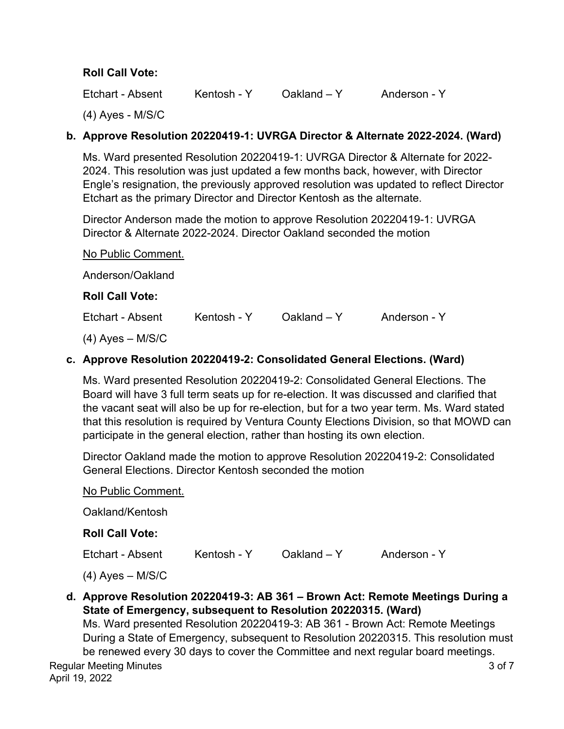## **Roll Call Vote:**

Etchart - Absent Kentosh - Y Oakland – Y Anderson - Y

(4) Ayes - M/S/C

## **b. Approve Resolution 20220419-1: UVRGA Director & Alternate 2022-2024. (Ward)**

Ms. Ward presented Resolution 20220419-1: UVRGA Director & Alternate for 2022- 2024. This resolution was just updated a few months back, however, with Director Engle's resignation, the previously approved resolution was updated to reflect Director Etchart as the primary Director and Director Kentosh as the alternate.

Director Anderson made the motion to approve Resolution 20220419-1: UVRGA Director & Alternate 2022-2024. Director Oakland seconded the motion

No Public Comment. Anderson/Oakland **Roll Call Vote:** Etchart - Absent Kentosh - Y Oakland – Y Anderson - Y (4) Ayes – M/S/C

## **c. Approve Resolution 20220419-2: Consolidated General Elections. (Ward)**

Ms. Ward presented Resolution 20220419-2: Consolidated General Elections. The Board will have 3 full term seats up for re-election. It was discussed and clarified that the vacant seat will also be up for re-election, but for a two year term. Ms. Ward stated that this resolution is required by Ventura County Elections Division, so that MOWD can participate in the general election, rather than hosting its own election.

Director Oakland made the motion to approve Resolution 20220419-2: Consolidated General Elections. Director Kentosh seconded the motion

| No Public Comment. |               |              |
|--------------------|---------------|--------------|
|                    |               |              |
|                    |               |              |
| Kentosh - Y        | $Oakland - Y$ | Anderson - Y |
|                    |               |              |
|                    |               |              |

# **d. Approve Resolution 20220419-3: AB 361 – Brown Act: Remote Meetings During a State of Emergency, subsequent to Resolution 20220315. (Ward)**

Ms. Ward presented Resolution 20220419-3: AB 361 - Brown Act: Remote Meetings During a State of Emergency, subsequent to Resolution 20220315. This resolution must be renewed every 30 days to cover the Committee and next regular board meetings.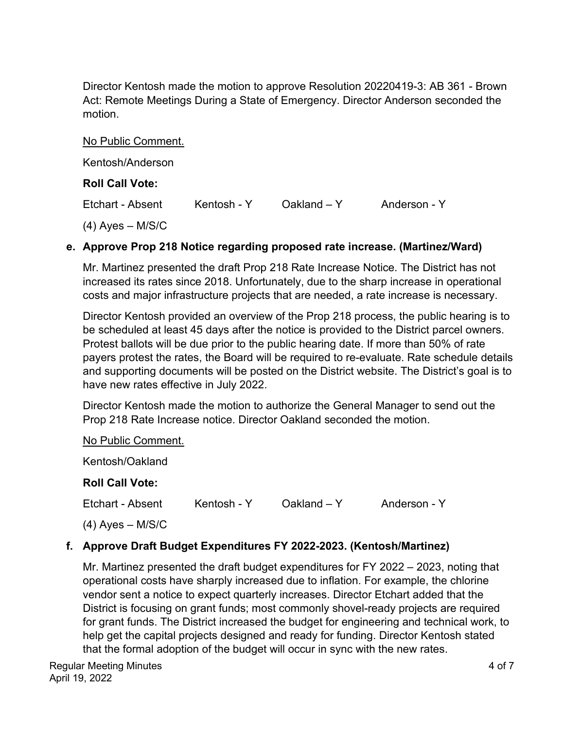Director Kentosh made the motion to approve Resolution 20220419-3: AB 361 - Brown Act: Remote Meetings During a State of Emergency. Director Anderson seconded the motion.

| No Public Comment.     |             |               |              |
|------------------------|-------------|---------------|--------------|
| Kentosh/Anderson       |             |               |              |
| <b>Roll Call Vote:</b> |             |               |              |
| Etchart - Absent       | Kentosh - Y | $Oakland - Y$ | Anderson - Y |
| $(4)$ Ayes – M/S/C     |             |               |              |

## **e. Approve Prop 218 Notice regarding proposed rate increase. (Martinez/Ward)**

Mr. Martinez presented the draft Prop 218 Rate Increase Notice. The District has not increased its rates since 2018. Unfortunately, due to the sharp increase in operational costs and major infrastructure projects that are needed, a rate increase is necessary.

Director Kentosh provided an overview of the Prop 218 process, the public hearing is to be scheduled at least 45 days after the notice is provided to the District parcel owners. Protest ballots will be due prior to the public hearing date. If more than 50% of rate payers protest the rates, the Board will be required to re-evaluate. Rate schedule details and supporting documents will be posted on the District website. The District's goal is to have new rates effective in July 2022.

Director Kentosh made the motion to authorize the General Manager to send out the Prop 218 Rate Increase notice. Director Oakland seconded the motion.

No Public Comment.

Kentosh/Oakland

## **Roll Call Vote:**

Etchart - Absent Kentosh - Y Oakland – Y Anderson - Y

(4) Ayes – M/S/C

# **f. Approve Draft Budget Expenditures FY 2022-2023. (Kentosh/Martinez)**

Mr. Martinez presented the draft budget expenditures for FY 2022 – 2023, noting that operational costs have sharply increased due to inflation. For example, the chlorine vendor sent a notice to expect quarterly increases. Director Etchart added that the District is focusing on grant funds; most commonly shovel-ready projects are required for grant funds. The District increased the budget for engineering and technical work, to help get the capital projects designed and ready for funding. Director Kentosh stated that the formal adoption of the budget will occur in sync with the new rates.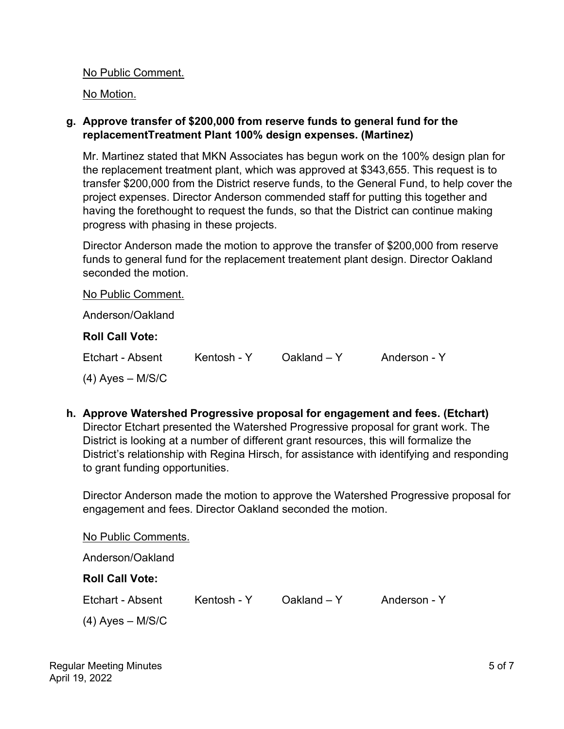No Public Comment.

No Motion.

## **g. Approve transfer of \$200,000 from reserve funds to general fund for the replacementTreatment Plant 100% design expenses. (Martinez)**

Mr. Martinez stated that MKN Associates has begun work on the 100% design plan for the replacement treatment plant, which was approved at \$343,655. This request is to transfer \$200,000 from the District reserve funds, to the General Fund, to help cover the project expenses. Director Anderson commended staff for putting this together and having the forethought to request the funds, so that the District can continue making progress with phasing in these projects.

Director Anderson made the motion to approve the transfer of \$200,000 from reserve funds to general fund for the replacement treatement plant design. Director Oakland seconded the motion.

No Public Comment. Anderson/Oakland **Roll Call Vote:** Etchart - Absent Kentosh - Y Oakland – Y Anderson - Y (4) Ayes – M/S/C

**h. Approve Watershed Progressive proposal for engagement and fees. (Etchart)**  Director Etchart presented the Watershed Progressive proposal for grant work. The District is looking at a number of different grant resources, this will formalize the District's relationship with Regina Hirsch, for assistance with identifying and responding to grant funding opportunities.

Director Anderson made the motion to approve the Watershed Progressive proposal for engagement and fees. Director Oakland seconded the motion.

No Public Comments. Anderson/Oakland **Roll Call Vote:** Etchart - Absent Kentosh - Y Oakland – Y Anderson - Y (4) Ayes – M/S/C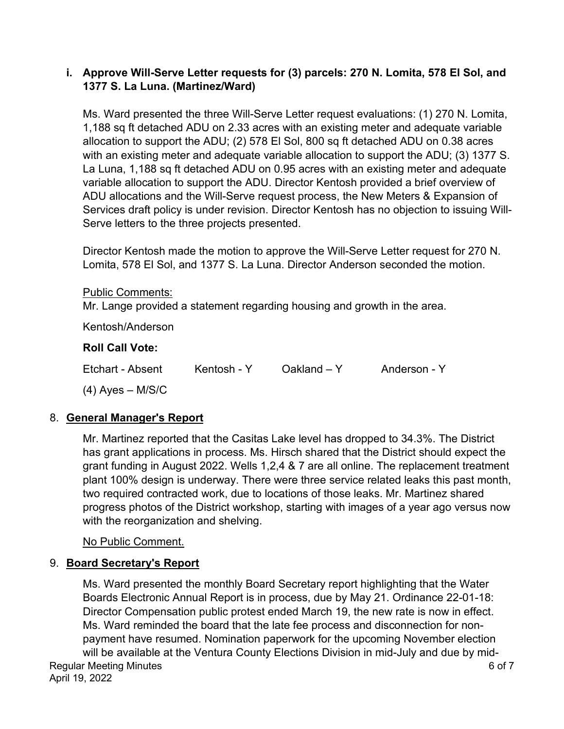## **i. Approve Will-Serve Letter requests for (3) parcels: 270 N. Lomita, 578 El Sol, and 1377 S. La Luna. (Martinez/Ward)**

Ms. Ward presented the three Will-Serve Letter request evaluations: (1) 270 N. Lomita, 1,188 sq ft detached ADU on 2.33 acres with an existing meter and adequate variable allocation to support the ADU; (2) 578 El Sol, 800 sq ft detached ADU on 0.38 acres with an existing meter and adequate variable allocation to support the ADU; (3) 1377 S. La Luna, 1,188 sq ft detached ADU on 0.95 acres with an existing meter and adequate variable allocation to support the ADU. Director Kentosh provided a brief overview of ADU allocations and the Will-Serve request process, the New Meters & Expansion of Services draft policy is under revision. Director Kentosh has no objection to issuing Will-Serve letters to the three projects presented.

Director Kentosh made the motion to approve the Will-Serve Letter request for 270 N. Lomita, 578 El Sol, and 1377 S. La Luna. Director Anderson seconded the motion.

Public Comments:

Mr. Lange provided a statement regarding housing and growth in the area.

Kentosh/Anderson

## **Roll Call Vote:**

Etchart - Absent Kentosh - Y Oakland – Y Anderson - Y

(4) Ayes – M/S/C

# 8. **General Manager's Report**

Mr. Martinez reported that the Casitas Lake level has dropped to 34.3%. The District has grant applications in process. Ms. Hirsch shared that the District should expect the grant funding in August 2022. Wells 1,2,4 & 7 are all online. The replacement treatment plant 100% design is underway. There were three service related leaks this past month, two required contracted work, due to locations of those leaks. Mr. Martinez shared progress photos of the District workshop, starting with images of a year ago versus now with the reorganization and shelving.

No Public Comment.

## 9. **Board Secretary's Report**

Regular Meeting Minutes April 19, 2022 6 of 7 Ms. Ward presented the monthly Board Secretary report highlighting that the Water Boards Electronic Annual Report is in process, due by May 21. Ordinance 22-01-18: Director Compensation public protest ended March 19, the new rate is now in effect. Ms. Ward reminded the board that the late fee process and disconnection for nonpayment have resumed. Nomination paperwork for the upcoming November election will be available at the Ventura County Elections Division in mid-July and due by mid